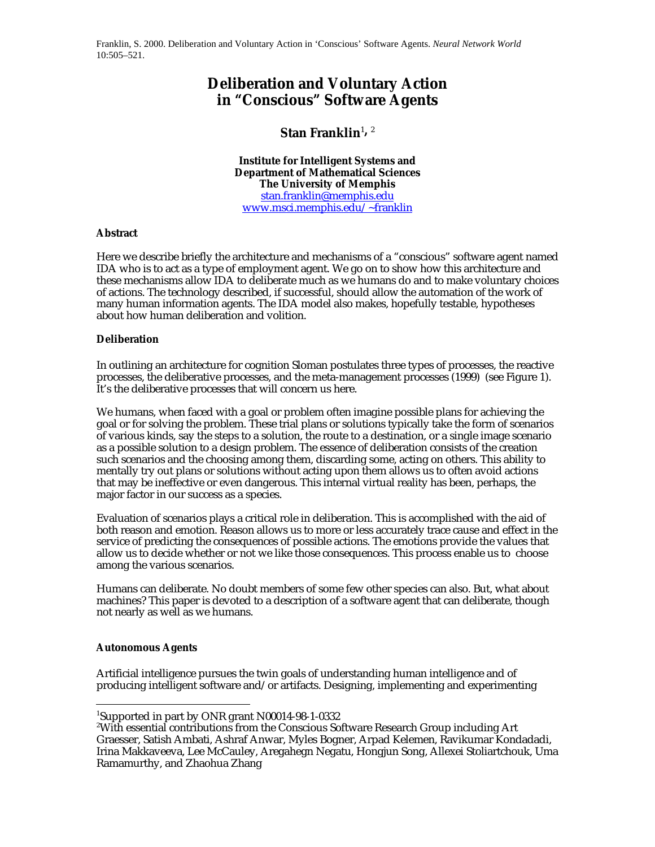Franklin, S. 2000. Deliberation and Voluntary Action in 'Conscious' Software Agents. *Neural Network World* 10:505–521.

# **Deliberation and Voluntary Action in "Conscious" Software Agents**

# **Stan Franklin**<sup>1</sup>**,**  2

**Institute for Intelligent Systems and Department of Mathematical Sciences The University of Memphis** stan.franklin@memphis.edu www.msci.memphis.edu/~franklin

## **Abstract**

Here we describe briefly the architecture and mechanisms of a "conscious" software agent named IDA who is to act as a type of employment agent. We go on to show how this architecture and these mechanisms allow IDA to deliberate much as we humans do and to make voluntary choices of actions. The technology described, if successful, should allow the automation of the work of many human information agents. The IDA model also makes, hopefully testable, hypotheses about how human deliberation and volition.

#### **Deliberation**

In outlining an architecture for cognition Sloman postulates three types of processes, the reactive processes, the deliberative processes, and the meta-management processes (1999) (see Figure 1). It's the deliberative processes that will concern us here.

We humans, when faced with a goal or problem often imagine possible plans for achieving the goal or for solving the problem. These trial plans or solutions typically take the form of scenarios of various kinds, say the steps to a solution, the route to a destination, or a single image scenario as a possible solution to a design problem. The essence of deliberation consists of the creation such scenarios and the choosing among them, discarding some, acting on others. This ability to mentally try out plans or solutions without acting upon them allows us to often avoid actions that may be ineffective or even dangerous. This internal virtual reality has been, perhaps, the major factor in our success as a species.

Evaluation of scenarios plays a critical role in deliberation. This is accomplished with the aid of both reason and emotion. Reason allows us to more or less accurately trace cause and effect in the service of predicting the consequences of possible actions. The emotions provide the values that allow us to decide whether or not we like those consequences. This process enable us to choose among the various scenarios.

Humans can deliberate. No doubt members of some few other species can also. But, what about machines? This paper is devoted to a description of a software agent that can deliberate, though not nearly as well as we humans.

## **Autonomous Agents**

 $\overline{a}$ 

Artificial intelligence pursues the twin goals of understanding human intelligence and of producing intelligent software and/or artifacts. Designing, implementing and experimenting

<sup>1</sup> Supported in part by ONR grant N00014-98-1-0332

<sup>&</sup>lt;sup>2</sup>With essential contributions from the Conscious Software Research Group including Art Graesser, Satish Ambati, Ashraf Anwar, Myles Bogner, Arpad Kelemen, Ravikumar Kondadadi, Irina Makkaveeva, Lee McCauley, Aregahegn Negatu, Hongjun Song, Allexei Stoliartchouk, Uma Ramamurthy, and Zhaohua Zhang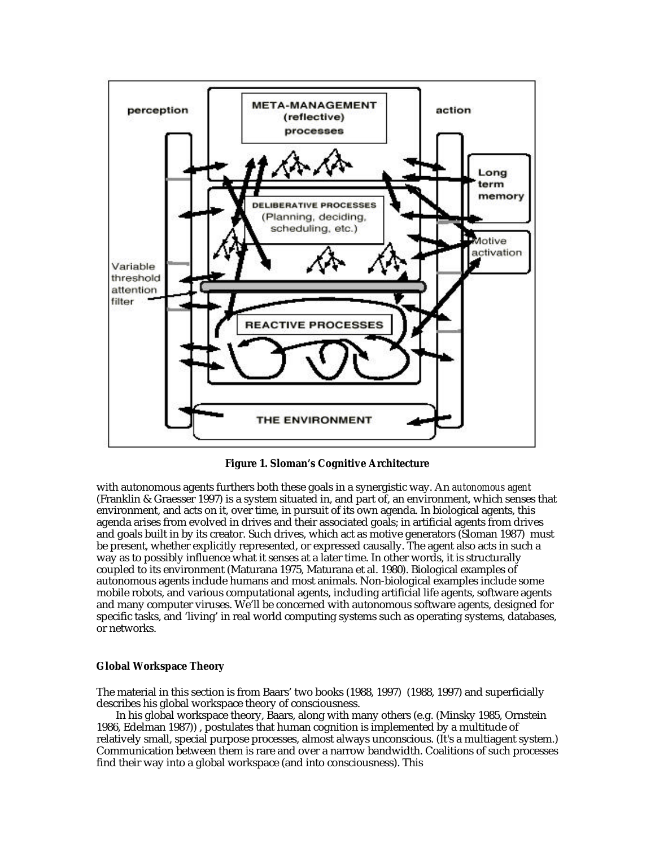

**Figure 1. Sloman's Cognitive Architecture**

with autonomous agents furthers both these goals in a synergistic way. An *autonomous agent* (Franklin & Graesser 1997) is a system situated in, and part of, an environment, which senses that environment, and acts on it, over time, in pursuit of its own agenda. In biological agents, this agenda arises from evolved in drives and their associated goals; in artificial agents from drives and goals built in by its creator. Such drives, which act as motive generators (Sloman 1987) must be present, whether explicitly represented, or expressed causally. The agent also acts in such a way as to possibly influence what it senses at a later time. In other words, it is structurally coupled to its environment (Maturana 1975, Maturana et al. 1980). Biological examples of autonomous agents include humans and most animals. Non-biological examples include some mobile robots, and various computational agents, including artificial life agents, software agents and many computer viruses. We'll be concerned with autonomous software agents, designed for specific tasks, and 'living' in real world computing systems such as operating systems, databases, or networks.

### **Global Workspace Theory**

The material in this section is from Baars' two books (1988, 1997) (1988, 1997) and superficially describes his global workspace theory of consciousness.

In his global workspace theory, Baars, along with many others (e.g. (Minsky 1985, Ornstein 1986, Edelman 1987)) , postulates that human cognition is implemented by a multitude of relatively small, special purpose processes, almost always unconscious. (It's a multiagent system.) Communication between them is rare and over a narrow bandwidth. Coalitions of such processes find their way into a global workspace (and into consciousness). This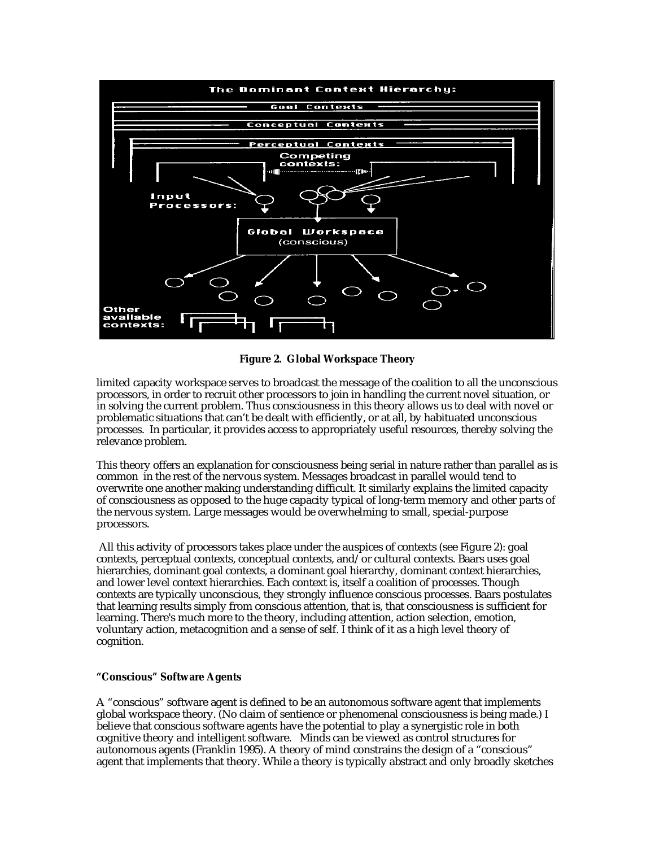

**Figure 2. Global Workspace Theory**

limited capacity workspace serves to broadcast the message of the coalition to all the unconscious processors, in order to recruit other processors to join in handling the current novel situation, or in solving the current problem. Thus consciousness in this theory allows us to deal with novel or problematic situations that can't be dealt with efficiently, or at all, by habituated unconscious processes. In particular, it provides access to appropriately useful resources, thereby solving the relevance problem.

This theory offers an explanation for consciousness being serial in nature rather than parallel as is common in the rest of the nervous system. Messages broadcast in parallel would tend to overwrite one another making understanding difficult. It similarly explains the limited capacity of consciousness as opposed to the huge capacity typical of long-term memory and other parts of the nervous system. Large messages would be overwhelming to small, special-purpose processors.

 All this activity of processors takes place under the auspices of contexts (see Figure 2): goal contexts, perceptual contexts, conceptual contexts, and/or cultural contexts. Baars uses goal hierarchies, dominant goal contexts, a dominant goal hierarchy, dominant context hierarchies, and lower level context hierarchies. Each context is, itself a coalition of processes. Though contexts are typically unconscious, they strongly influence conscious processes. Baars postulates that learning results simply from conscious attention, that is, that consciousness is sufficient for learning. There's much more to the theory, including attention, action selection, emotion, voluntary action, metacognition and a sense of self. I think of it as a high level theory of cognition.

## **"Conscious" Software Agents**

A "conscious" software agent is defined to be an autonomous software agent that implements global workspace theory. (No claim of sentience or phenomenal consciousness is being made.) I believe that conscious software agents have the potential to play a synergistic role in both cognitive theory and intelligent software. Minds can be viewed as control structures for autonomous agents (Franklin 1995). A theory of mind constrains the design of a "conscious" agent that implements that theory. While a theory is typically abstract and only broadly sketches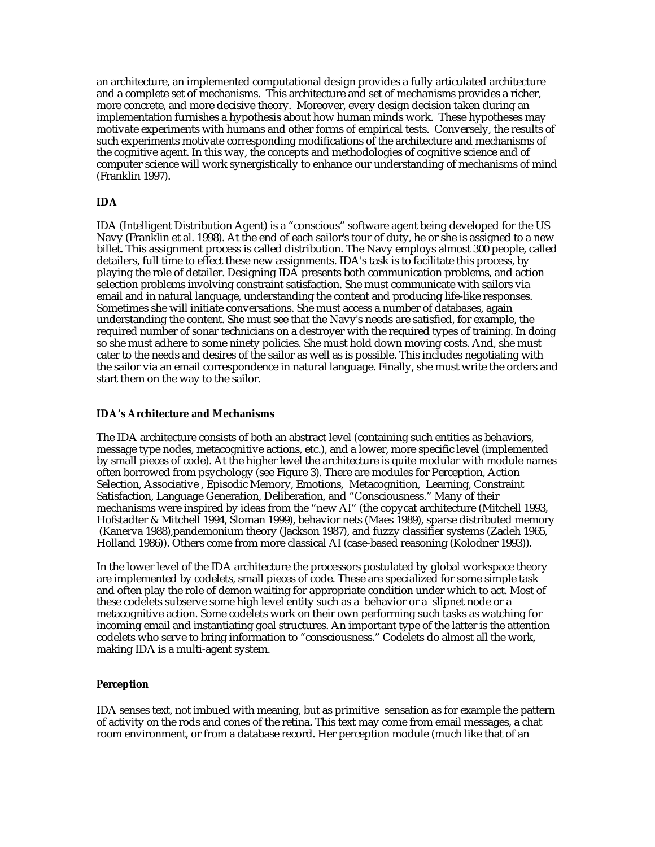an architecture, an implemented computational design provides a fully articulated architecture and a complete set of mechanisms. This architecture and set of mechanisms provides a richer, more concrete, and more decisive theory. Moreover, every design decision taken during an implementation furnishes a hypothesis about how human minds work. These hypotheses may motivate experiments with humans and other forms of empirical tests. Conversely, the results of such experiments motivate corresponding modifications of the architecture and mechanisms of the cognitive agent. In this way, the concepts and methodologies of cognitive science and of computer science will work synergistically to enhance our understanding of mechanisms of mind (Franklin 1997).

## **IDA**

IDA (Intelligent Distribution Agent) is a "conscious" software agent being developed for the US Navy (Franklin et al. 1998). At the end of each sailor's tour of duty, he or she is assigned to a new billet. This assignment process is called distribution. The Navy employs almost 300 people, called detailers, full time to effect these new assignments. IDA's task is to facilitate this process, by playing the role of detailer. Designing IDA presents both communication problems, and action selection problems involving constraint satisfaction. She must communicate with sailors via email and in natural language, understanding the content and producing life-like responses. Sometimes she will initiate conversations. She must access a number of databases, again understanding the content. She must see that the Navy's needs are satisfied, for example, the required number of sonar technicians on a destroyer with the required types of training. In doing so she must adhere to some ninety policies. She must hold down moving costs. And, she must cater to the needs and desires of the sailor as well as is possible. This includes negotiating with the sailor via an email correspondence in natural language. Finally, she must write the orders and start them on the way to the sailor.

## **IDA's Architecture and Mechanisms**

The IDA architecture consists of both an abstract level (containing such entities as behaviors, message type nodes, metacognitive actions, etc.), and a lower, more specific level (implemented by small pieces of code). At the higher level the architecture is quite modular with module names often borrowed from psychology (see Figure 3). There are modules for Perception, Action Selection, Associative , Episodic Memory, Emotions, Metacognition, Learning, Constraint Satisfaction, Language Generation, Deliberation, and "Consciousness." Many of their mechanisms were inspired by ideas from the "new AI" (the copycat architecture (Mitchell 1993, Hofstadter & Mitchell 1994, Sloman 1999), behavior nets (Maes 1989), sparse distributed memory (Kanerva 1988),pandemonium theory (Jackson 1987), and fuzzy classifier systems (Zadeh 1965, Holland 1986)). Others come from more classical AI (case-based reasoning (Kolodner 1993)).

In the lower level of the IDA architecture the processors postulated by global workspace theory are implemented by codelets, small pieces of code. These are specialized for some simple task and often play the role of demon waiting for appropriate condition under which to act. Most of these codelets subserve some high level entity such as a behavior or a slipnet node or a metacognitive action. Some codelets work on their own performing such tasks as watching for incoming email and instantiating goal structures. An important type of the latter is the attention codelets who serve to bring information to "consciousness." Codelets do almost all the work, making IDA is a multi-agent system.

## **Perception**

IDA senses text, not imbued with meaning, but as primitive sensation as for example the pattern of activity on the rods and cones of the retina. This text may come from email messages, a chat room environment, or from a database record. Her perception module (much like that of an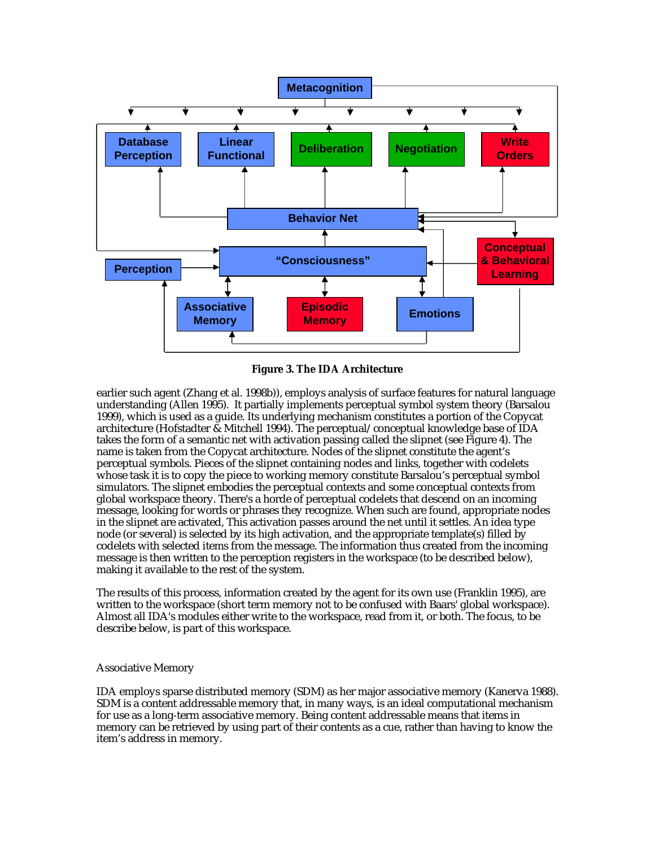

**Figure 3. The IDA Architecture**

earlier such agent (Zhang et al. 1998b)), employs analysis of surface features for natural language understanding (Allen 1995). It partially implements perceptual symbol system theory (Barsalou 1999), which is used as a guide. Its underlying mechanism constitutes a portion of the Copycat architecture (Hofstadter & Mitchell 1994). The perceptual/conceptual knowledge base of IDA takes the form of a semantic net with activation passing called the slipnet (see Figure 4). The name is taken from the Copycat architecture. Nodes of the slipnet constitute the agent's perceptual symbols. Pieces of the slipnet containing nodes and links, together with codelets whose task it is to copy the piece to working memory constitute Barsalou's perceptual symbol simulators. The slipnet embodies the perceptual contexts and some conceptual contexts from global workspace theory. There's a horde of perceptual codelets that descend on an incoming message, looking for words or phrases they recognize. When such are found, appropriate nodes in the slipnet are activated, This activation passes around the net until it settles. An idea type node (or several) is selected by its high activation, and the appropriate template(s) filled by codelets with selected items from the message. The information thus created from the incoming message is then written to the perception registers in the workspace (to be described below), making it available to the rest of the system.

The results of this process, information created by the agent for its own use (Franklin 1995), are written to the workspace (short term memory not to be confused with Baars' global workspace). Almost all IDA's modules either write to the workspace, read from it, or both. The focus, to be describe below, is part of this workspace.

## Associative Memory

IDA employs sparse distributed memory (SDM) as her major associative memory (Kanerva 1988). SDM is a content addressable memory that, in many ways, is an ideal computational mechanism for use as a long-term associative memory. Being content addressable means that items in memory can be retrieved by using part of their contents as a cue, rather than having to know the item's address in memory.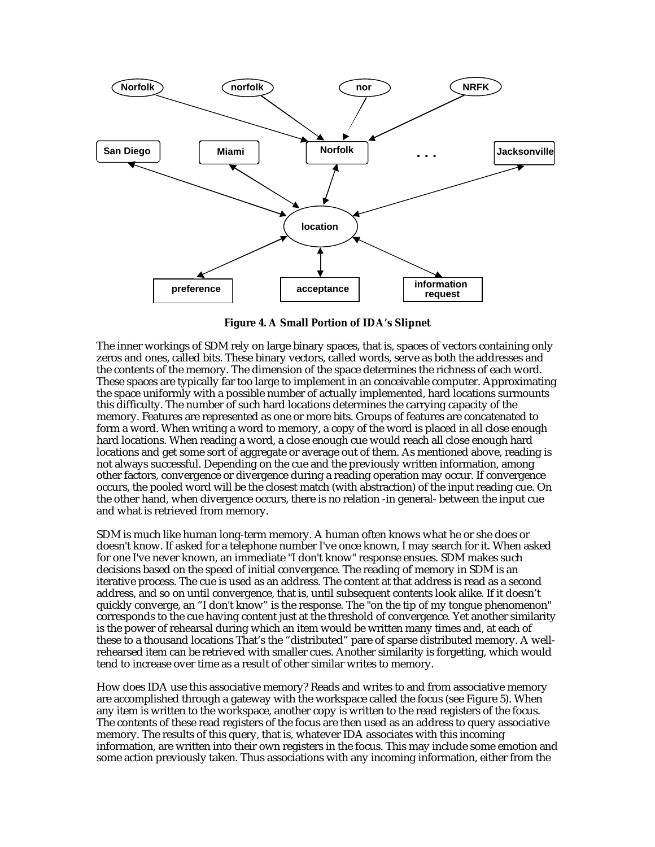

**Figure 4. A Small Portion of IDA's Slipnet**

The inner workings of SDM rely on large binary spaces, that is, spaces of vectors containing only zeros and ones, called bits. These binary vectors, called words, serve as both the addresses and the contents of the memory. The dimension of the space determines the richness of each word. These spaces are typically far too large to implement in an conceivable computer. Approximating the space uniformly with a possible number of actually implemented, hard locations surmounts this difficulty. The number of such hard locations determines the carrying capacity of the memory. Features are represented as one or more bits. Groups of features are concatenated to form a word. When writing a word to memory, a copy of the word is placed in all close enough hard locations. When reading a word, a close enough cue would reach all close enough hard locations and get some sort of aggregate or average out of them. As mentioned above, reading is not always successful. Depending on the cue and the previously written information, among other factors, convergence or divergence during a reading operation may occur. If convergence occurs, the pooled word will be the closest match (with abstraction) of the input reading cue. On the other hand, when divergence occurs, there is no relation -in general- between the input cue and what is retrieved from memory.

SDM is much like human long-term memory. A human often knows what he or she does or doesn't know. If asked for a telephone number I've once known, I may search for it. When asked for one I've never known, an immediate "I don't know" response ensues. SDM makes such decisions based on the speed of initial convergence. The reading of memory in SDM is an iterative process. The cue is used as an address. The content at that address is read as a second address, and so on until convergence, that is, until subsequent contents look alike. If it doesn't quickly converge, an "I don't know" is the response. The "on the tip of my tongue phenomenon" corresponds to the cue having content just at the threshold of convergence. Yet another similarity is the power of rehearsal during which an item would be written many times and, at each of these to a thousand locations That's the "distributed" pare of sparse distributed memory. A wellrehearsed item can be retrieved with smaller cues. Another similarity is forgetting, which would tend to increase over time as a result of other similar writes to memory.

How does IDA use this associative memory? Reads and writes to and from associative memory are accomplished through a gateway with the workspace called the focus (see Figure 5). When any item is written to the workspace, another copy is written to the read registers of the focus. The contents of these read registers of the focus are then used as an address to query associative memory. The results of this query, that is, whatever IDA associates with this incoming information, are written into their own registers in the focus. This may include some emotion and some action previously taken. Thus associations with any incoming information, either from the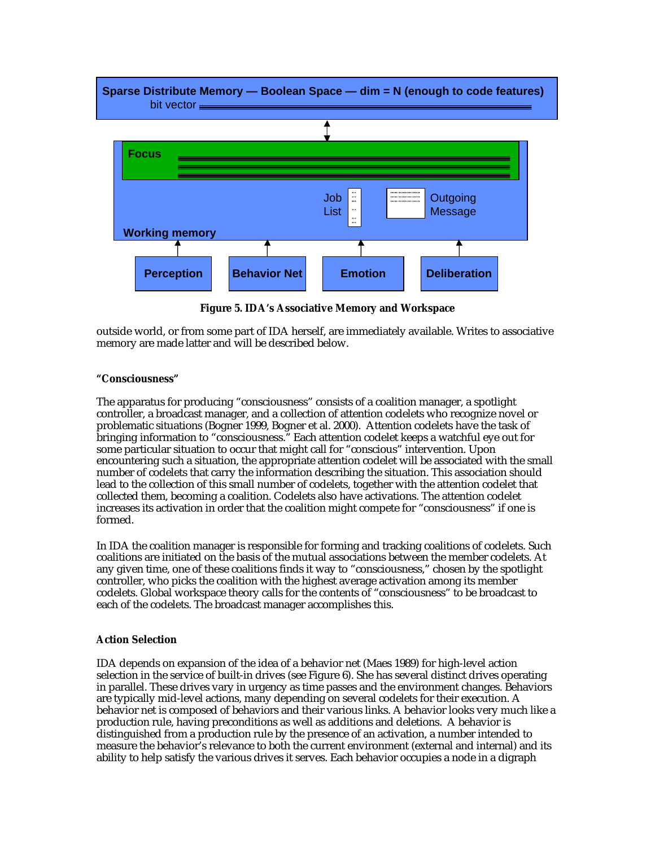

**Figure 5. IDA's Associative Memory and Workspace**

outside world, or from some part of IDA herself, are immediately available. Writes to associative memory are made latter and will be described below.

## **"Consciousness"**

The apparatus for producing "consciousness" consists of a coalition manager, a spotlight controller, a broadcast manager, and a collection of attention codelets who recognize novel or problematic situations (Bogner 1999, Bogner et al. 2000). Attention codelets have the task of bringing information to "consciousness." Each attention codelet keeps a watchful eye out for some particular situation to occur that might call for "conscious" intervention. Upon encountering such a situation, the appropriate attention codelet will be associated with the small number of codelets that carry the information describing the situation. This association should lead to the collection of this small number of codelets, together with the attention codelet that collected them, becoming a coalition. Codelets also have activations. The attention codelet increases its activation in order that the coalition might compete for "consciousness" if one is formed.

In IDA the coalition manager is responsible for forming and tracking coalitions of codelets. Such coalitions are initiated on the basis of the mutual associations between the member codelets. At any given time, one of these coalitions finds it way to "consciousness," chosen by the spotlight controller, who picks the coalition with the highest average activation among its member codelets. Global workspace theory calls for the contents of "consciousness" to be broadcast to each of the codelets. The broadcast manager accomplishes this.

### **Action Selection**

IDA depends on expansion of the idea of a behavior net (Maes 1989) for high-level action selection in the service of built-in drives (see Figure 6). She has several distinct drives operating in parallel. These drives vary in urgency as time passes and the environment changes. Behaviors are typically mid-level actions, many depending on several codelets for their execution. A behavior net is composed of behaviors and their various links. A behavior looks very much like a production rule, having preconditions as well as additions and deletions. A behavior is distinguished from a production rule by the presence of an activation, a number intended to measure the behavior's relevance to both the current environment (external and internal) and its ability to help satisfy the various drives it serves. Each behavior occupies a node in a digraph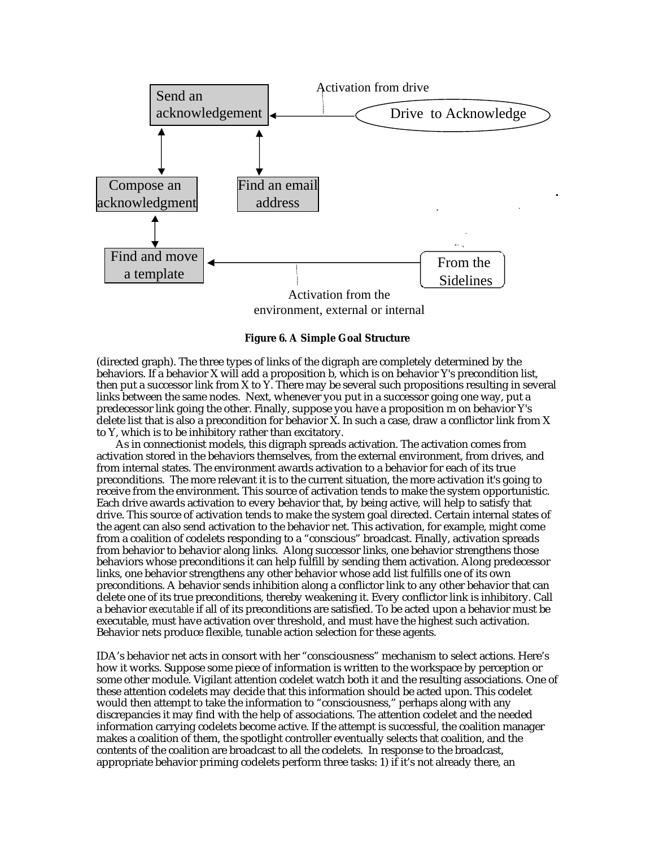

environment, external or internal

### **Figure 6. A Simple Goal Structure**

(directed graph). The three types of links of the digraph are completely determined by the behaviors. If a behavior X will add a proposition b, which is on behavior Y's precondition list, then put a successor link from X to Y. There may be several such propositions resulting in several links between the same nodes. Next, whenever you put in a successor going one way, put a predecessor link going the other. Finally, suppose you have a proposition m on behavior Y's delete list that is also a precondition for behavior  $\overline{X}$ . In such a case, draw a conflictor link from  $\overline{X}$ to Y, which is to be inhibitory rather than excitatory.

As in connectionist models, this digraph spreads activation. The activation comes from activation stored in the behaviors themselves, from the external environment, from drives, and from internal states. The environment awards activation to a behavior for each of its true preconditions. The more relevant it is to the current situation, the more activation it's going to receive from the environment. This source of activation tends to make the system opportunistic. Each drive awards activation to every behavior that, by being active, will help to satisfy that drive. This source of activation tends to make the system goal directed. Certain internal states of the agent can also send activation to the behavior net. This activation, for example, might come from a coalition of codelets responding to a "conscious" broadcast. Finally, activation spreads from behavior to behavior along links. Along successor links, one behavior strengthens those behaviors whose preconditions it can help fulfill by sending them activation. Along predecessor links, one behavior strengthens any other behavior whose add list fulfills one of its own preconditions. A behavior sends inhibition along a conflictor link to any other behavior that can delete one of its true preconditions, thereby weakening it. Every conflictor link is inhibitory. Call a behavior *executable* if all of its preconditions are satisfied. To be acted upon a behavior must be executable, must have activation over threshold, and must have the highest such activation. Behavior nets produce flexible, tunable action selection for these agents.

IDA's behavior net acts in consort with her "consciousness" mechanism to select actions. Here's how it works. Suppose some piece of information is written to the workspace by perception or some other module. Vigilant attention codelet watch both it and the resulting associations. One of these attention codelets may decide that this information should be acted upon. This codelet would then attempt to take the information to "consciousness," perhaps along with any discrepancies it may find with the help of associations. The attention codelet and the needed information carrying codelets become active. If the attempt is successful, the coalition manager makes a coalition of them, the spotlight controller eventually selects that coalition, and the contents of the coalition are broadcast to all the codelets. In response to the broadcast, appropriate behavior priming codelets perform three tasks: 1) if it's not already there, an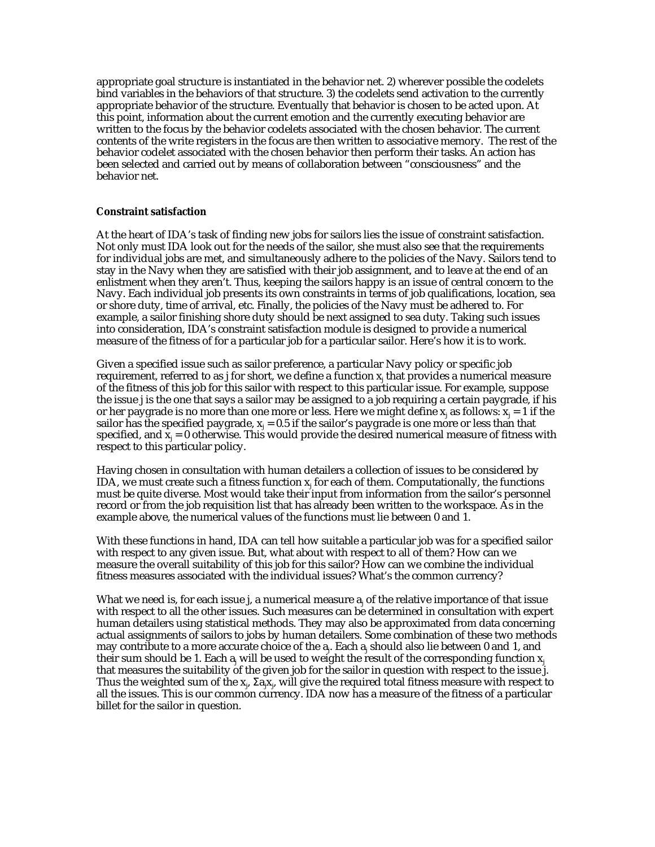appropriate goal structure is instantiated in the behavior net. 2) wherever possible the codelets bind variables in the behaviors of that structure. 3) the codelets send activation to the currently appropriate behavior of the structure. Eventually that behavior is chosen to be acted upon. At this point, information about the current emotion and the currently executing behavior are written to the focus by the behavior codelets associated with the chosen behavior. The current contents of the write registers in the focus are then written to associative memory. The rest of the behavior codelet associated with the chosen behavior then perform their tasks. An action has been selected and carried out by means of collaboration between "consciousness" and the behavior net.

## **Constraint satisfaction**

At the heart of IDA's task of finding new jobs for sailors lies the issue of constraint satisfaction. Not only must IDA look out for the needs of the sailor, she must also see that the requirements for individual jobs are met, and simultaneously adhere to the policies of the Navy. Sailors tend to stay in the Navy when they are satisfied with their job assignment, and to leave at the end of an enlistment when they aren't. Thus, keeping the sailors happy is an issue of central concern to the Navy. Each individual job presents its own constraints in terms of job qualifications, location, sea or shore duty, time of arrival, etc. Finally, the policies of the Navy must be adhered to. For example, a sailor finishing shore duty should be next assigned to sea duty. Taking such issues into consideration, IDA's constraint satisfaction module is designed to provide a numerical measure of the fitness of for a particular job for a particular sailor. Here's how it is to work.

Given a specified issue such as sailor preference, a particular Navy policy or specific job requirement, referred to as j for short, we define a function  $\boldsymbol{\mathrm{x}}_\mathrm{j}$  that provides a numerical measure of the fitness of this job for this sailor with respect to this particular issue. For example, suppose the issue j is the one that says a sailor may be assigned to a job requiring a certain paygrade, if his or her paygrade is no more than one more or less. Here we might define  $\boldsymbol{\mathrm{x}}_{\mathrm{j}}$  as follows:  $\boldsymbol{\mathrm{x}}_{\mathrm{j}}$  = 1 if the sailor has the specified paygrade,  $\mathrm{x_{j}}$  = 0.5 if the sailor's paygrade is one more or less than that specified, and **x<sub>j</sub> = 0 otherwise. This would provide the desired** numerical measure of fitness with respect to this particular policy.

Having chosen in consultation with human detailers a collection of issues to be considered by IDA, we must create such a fitness function  $\boldsymbol{\mathrm{x_j}}$  for each of them. Computationally, the functions must be quite diverse. Most would take their input from information from the sailor's personnel record or from the job requisition list that has already been written to the workspace. As in the example above, the numerical values of the functions must lie between 0 and 1.

With these functions in hand, IDA can tell how suitable a particular job was for a specified sailor with respect to any given issue. But, what about with respect to all of them? How can we measure the overall suitability of this job for this sailor? How can we combine the individual fitness measures associated with the individual issues? What's the common currency?

What we need is, for each issue j, a numerical measure  $\boldsymbol{a}_\mathrm{j}$  of the relative importance of that issue with respect to all the other issues. Such measures can be determined in consultation with expert human detailers using statistical methods. They may also be approximated from data concerning actual assignments of sailors to jobs by human detailers. Some combination of these two methods may contribute to a more accurate choice of the a<sub>j</sub>. Each a<sub>j</sub> should also lie between 0 and 1, and their sum should be 1. Each a<sub>j</sub> will be used to weight the result of the corresponding function x<sub>j</sub> that measures the suitability of the given job for the sailor in question with respect to the issue j. Thus the weighted sum of the  $\rm x_{j}$ ,  $\rm\ a_{j}x_{j}$ , will give the required total fitness measure with respect to all the issues. This is our common currency. IDA now has a measure of the fitness of a particular billet for the sailor in question.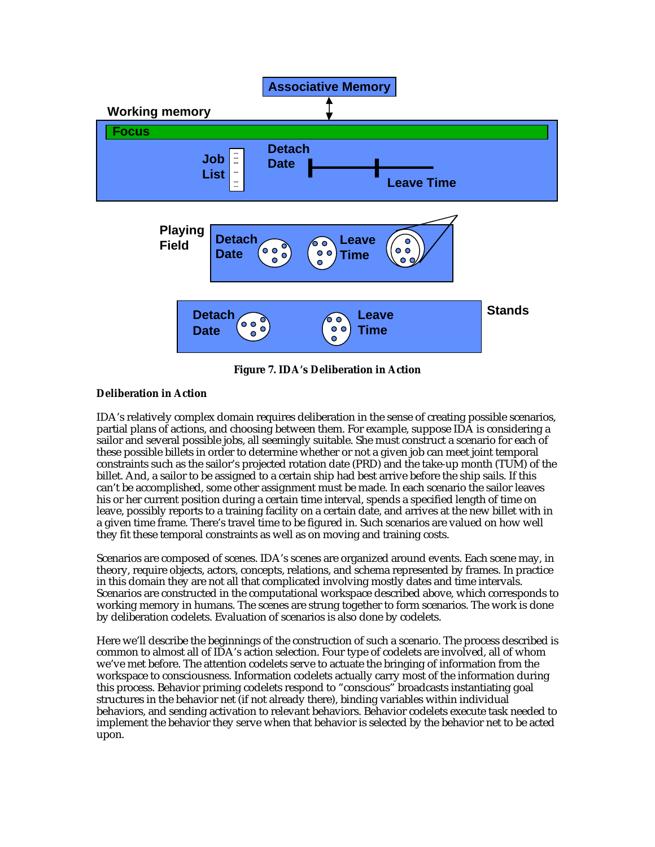

**Figure 7. IDA's Deliberation in Action**

## **Deliberation in Action**

IDA's relatively complex domain requires deliberation in the sense of creating possible scenarios, partial plans of actions, and choosing between them. For example, suppose IDA is considering a sailor and several possible jobs, all seemingly suitable. She must construct a scenario for each of these possible billets in order to determine whether or not a given job can meet joint temporal constraints such as the sailor's projected rotation date (PRD) and the take-up month (TUM) of the billet. And, a sailor to be assigned to a certain ship had best arrive before the ship sails. If this can't be accomplished, some other assignment must be made. In each scenario the sailor leaves his or her current position during a certain time interval, spends a specified length of time on leave, possibly reports to a training facility on a certain date, and arrives at the new billet with in a given time frame. There's travel time to be figured in. Such scenarios are valued on how well they fit these temporal constraints as well as on moving and training costs.

Scenarios are composed of scenes. IDA's scenes are organized around events. Each scene may, in theory, require objects, actors, concepts, relations, and schema represented by frames. In practice in this domain they are not all that complicated involving mostly dates and time intervals. Scenarios are constructed in the computational workspace described above, which corresponds to working memory in humans. The scenes are strung together to form scenarios. The work is done by deliberation codelets. Evaluation of scenarios is also done by codelets.

Here we'll describe the beginnings of the construction of such a scenario. The process described is common to almost all of IDA's action selection. Four type of codelets are involved, all of whom we've met before. The attention codelets serve to actuate the bringing of information from the workspace to consciousness. Information codelets actually carry most of the information during this process. Behavior priming codelets respond to "conscious" broadcasts instantiating goal structures in the behavior net (if not already there), binding variables within individual behaviors, and sending activation to relevant behaviors. Behavior codelets execute task needed to implement the behavior they serve when that behavior is selected by the behavior net to be acted upon.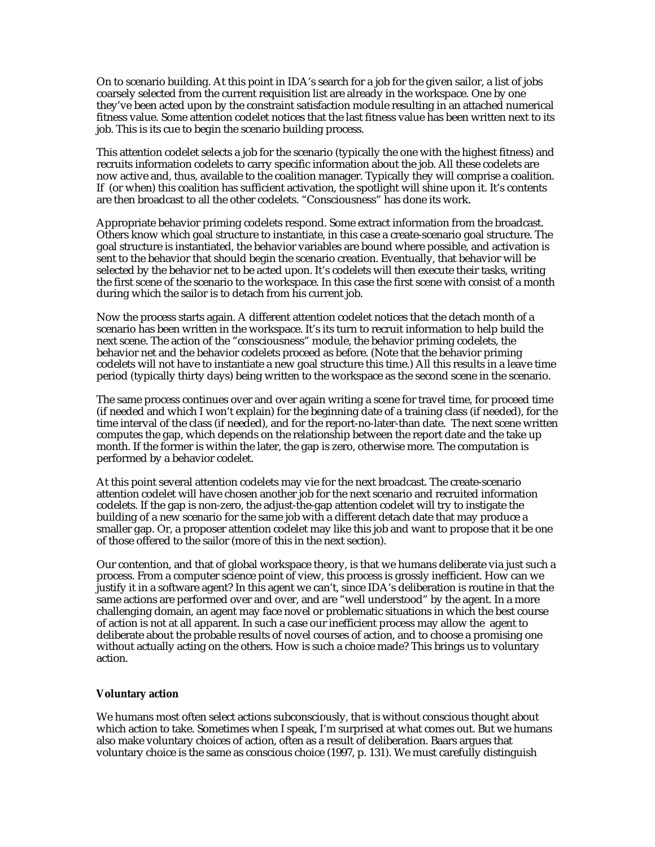On to scenario building. At this point in IDA's search for a job for the given sailor, a list of jobs coarsely selected from the current requisition list are already in the workspace. One by one they've been acted upon by the constraint satisfaction module resulting in an attached numerical fitness value. Some attention codelet notices that the last fitness value has been written next to its job. This is its cue to begin the scenario building process.

This attention codelet selects a job for the scenario (typically the one with the highest fitness) and recruits information codelets to carry specific information about the job. All these codelets are now active and, thus, available to the coalition manager. Typically they will comprise a coalition. If (or when) this coalition has sufficient activation, the spotlight will shine upon it. It's contents are then broadcast to all the other codelets. "Consciousness" has done its work.

Appropriate behavior priming codelets respond. Some extract information from the broadcast. Others know which goal structure to instantiate, in this case a create-scenario goal structure. The goal structure is instantiated, the behavior variables are bound where possible, and activation is sent to the behavior that should begin the scenario creation. Eventually, that behavior will be selected by the behavior net to be acted upon. It's codelets will then execute their tasks, writing the first scene of the scenario to the workspace. In this case the first scene with consist of a month during which the sailor is to detach from his current job.

Now the process starts again. A different attention codelet notices that the detach month of a scenario has been written in the workspace. It's its turn to recruit information to help build the next scene. The action of the "consciousness" module, the behavior priming codelets, the behavior net and the behavior codelets proceed as before. (Note that the behavior priming codelets will not have to instantiate a new goal structure this time.) All this results in a leave time period (typically thirty days) being written to the workspace as the second scene in the scenario.

The same process continues over and over again writing a scene for travel time, for proceed time (if needed and which I won't explain) for the beginning date of a training class (if needed), for the time interval of the class (if needed), and for the report-no-later-than date. The next scene written computes the gap, which depends on the relationship between the report date and the take up month. If the former is within the later, the gap is zero, otherwise more. The computation is performed by a behavior codelet.

At this point several attention codelets may vie for the next broadcast. The create-scenario attention codelet will have chosen another job for the next scenario and recruited information codelets. If the gap is non-zero, the adjust-the-gap attention codelet will try to instigate the building of a new scenario for the same job with a different detach date that may produce a smaller gap. Or, a proposer attention codelet may like this job and want to propose that it be one of those offered to the sailor (more of this in the next section).

Our contention, and that of global workspace theory, is that we humans deliberate via just such a process. From a computer science point of view, this process is grossly inefficient. How can we justify it in a software agent? In this agent we can't, since IDA's deliberation is routine in that the same actions are performed over and over, and are "well understood" by the agent. In a more challenging domain, an agent may face novel or problematic situations in which the best course of action is not at all apparent. In such a case our inefficient process may allow the agent to deliberate about the probable results of novel courses of action, and to choose a promising one without actually acting on the others. How is such a choice made? This brings us to voluntary action.

### **Voluntary action**

We humans most often select actions subconsciously, that is without conscious thought about which action to take. Sometimes when I speak, I'm surprised at what comes out. But we humans also make voluntary choices of action, often as a result of deliberation. Baars argues that voluntary choice is the same as conscious choice (1997, p. 131). We must carefully distinguish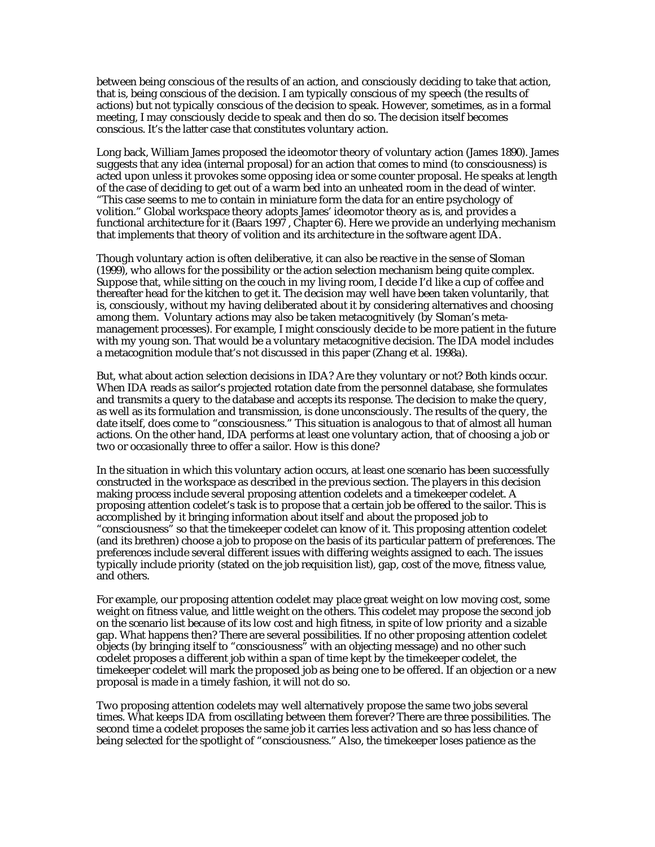between being conscious of the results of an action, and consciously deciding to take that action, that is, being conscious of the decision. I am typically conscious of my speech (the results of actions) but not typically conscious of the decision to speak. However, sometimes, as in a formal meeting, I may consciously decide to speak and then do so. The decision itself becomes conscious. It's the latter case that constitutes voluntary action.

Long back, William James proposed the ideomotor theory of voluntary action (James 1890). James suggests that any idea (internal proposal) for an action that comes to mind (to consciousness) is acted upon unless it provokes some opposing idea or some counter proposal. He speaks at length of the case of deciding to get out of a warm bed into an unheated room in the dead of winter. "This case seems to me to contain in miniature form the data for an entire psychology of volition." Global workspace theory adopts James' ideomotor theory as is, and provides a functional architecture for it (Baars 1997 , Chapter 6). Here we provide an underlying mechanism that implements that theory of volition and its architecture in the software agent IDA.

Though voluntary action is often deliberative, it can also be reactive in the sense of Sloman (1999), who allows for the possibility or the action selection mechanism being quite complex. Suppose that, while sitting on the couch in my living room, I decide I'd like a cup of coffee and thereafter head for the kitchen to get it. The decision may well have been taken voluntarily, that is, consciously, without my having deliberated about it by considering alternatives and choosing among them. Voluntary actions may also be taken metacognitively (by Sloman's metamanagement processes). For example, I might consciously decide to be more patient in the future with my young son. That would be a voluntary metacognitive decision. The IDA model includes a metacognition module that's not discussed in this paper (Zhang et al. 1998a).

But, what about action selection decisions in IDA? Are they voluntary or not? Both kinds occur. When IDA reads as sailor's projected rotation date from the personnel database, she formulates and transmits a query to the database and accepts its response. The decision to make the query, as well as its formulation and transmission, is done unconsciously. The results of the query, the date itself, does come to "consciousness." This situation is analogous to that of almost all human actions. On the other hand, IDA performs at least one voluntary action, that of choosing a job or two or occasionally three to offer a sailor. How is this done?

In the situation in which this voluntary action occurs, at least one scenario has been successfully constructed in the workspace as described in the previous section. The players in this decision making process include several proposing attention codelets and a timekeeper codelet. A proposing attention codelet's task is to propose that a certain job be offered to the sailor. This is accomplished by it bringing information about itself and about the proposed job to "consciousness" so that the timekeeper codelet can know of it. This proposing attention codelet (and its brethren) choose a job to propose on the basis of its particular pattern of preferences. The preferences include several different issues with differing weights assigned to each. The issues typically include priority (stated on the job requisition list), gap, cost of the move, fitness value, and others.

For example, our proposing attention codelet may place great weight on low moving cost, some weight on fitness value, and little weight on the others. This codelet may propose the second job on the scenario list because of its low cost and high fitness, in spite of low priority and a sizable gap. What happens then? There are several possibilities. If no other proposing attention codelet objects (by bringing itself to "consciousness" with an objecting message) and no other such codelet proposes a different job within a span of time kept by the timekeeper codelet, the timekeeper codelet will mark the proposed job as being one to be offered. If an objection or a new proposal is made in a timely fashion, it will not do so.

Two proposing attention codelets may well alternatively propose the same two jobs several times. What keeps IDA from oscillating between them forever? There are three possibilities. The second time a codelet proposes the same job it carries less activation and so has less chance of being selected for the spotlight of "consciousness." Also, the timekeeper loses patience as the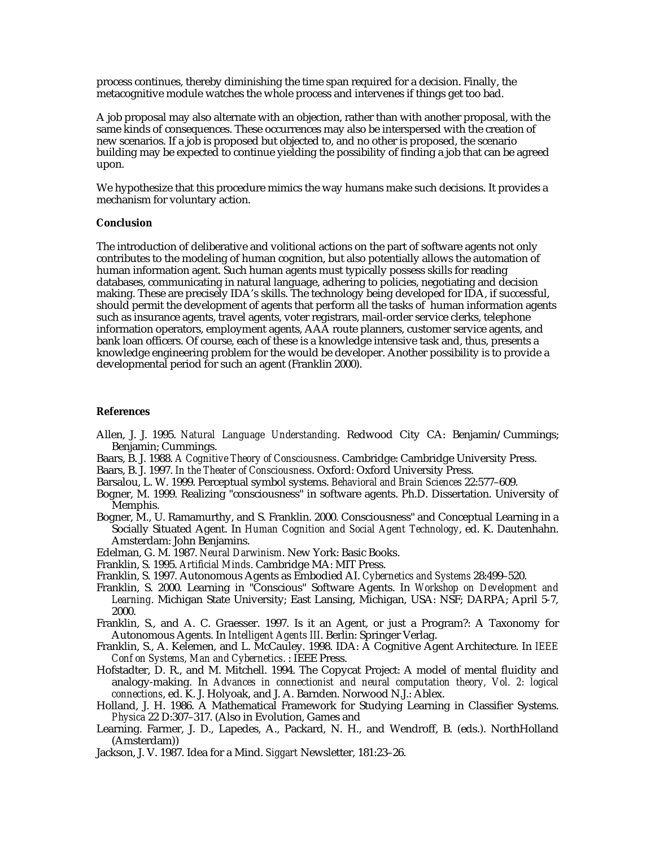process continues, thereby diminishing the time span required for a decision. Finally, the metacognitive module watches the whole process and intervenes if things get too bad.

A job proposal may also alternate with an objection, rather than with another proposal, with the same kinds of consequences. These occurrences may also be interspersed with the creation of new scenarios. If a job is proposed but objected to, and no other is proposed, the scenario building may be expected to continue yielding the possibility of finding a job that can be agreed upon.

We hypothesize that this procedure mimics the way humans make such decisions. It provides a mechanism for voluntary action.

#### **Conclusion**

The introduction of deliberative and volitional actions on the part of software agents not only contributes to the modeling of human cognition, but also potentially allows the automation of human information agent. Such human agents must typically possess skills for reading databases, communicating in natural language, adhering to policies, negotiating and decision making. These are precisely IDA's skills. The technology being developed for IDA, if successful, should permit the development of agents that perform all the tasks of human information agents such as insurance agents, travel agents, voter registrars, mail-order service clerks, telephone information operators, employment agents, AAA route planners, customer service agents, and bank loan officers. Of course, each of these is a knowledge intensive task and, thus, presents a knowledge engineering problem for the would be developer. Another possibility is to provide a developmental period for such an agent (Franklin 2000).

#### **References**

- Allen, J. J. 1995. *Natural Language Understanding*. Redwood City CA: Benjamin/Cummings; Benjamin; Cummings.
- Baars, B. J. 1988. *A Cognitive Theory of Consciousness*. Cambridge: Cambridge University Press.
- Baars, B. J. 1997. *In the Theater of Consciousness*. Oxford: Oxford University Press.
- Barsalou, L. W. 1999. Perceptual symbol systems. *Behavioral and Brain Sciences* 22:577–609.
- Bogner, M. 1999. Realizing "consciousness" in software agents. Ph.D. Dissertation. University of Memphis.
- Bogner, M., U. Ramamurthy, and S. Franklin. 2000. Consciousness" and Conceptual Learning in a Socially Situated Agent. In *Human Cognition and Social Agent Technology*, ed. K. Dautenhahn. Amsterdam: John Benjamins.
- Edelman, G. M. 1987. *Neural Darwinism*. New York: Basic Books.
- Franklin, S. 1995. *Artificial Minds*. Cambridge MA: MIT Press.
- Franklin, S. 1997. Autonomous Agents as Embodied AI. *Cybernetics and Systems* 28:499–520.
- Franklin, S. 2000. Learning in "Conscious" Software Agents. In *Workshop on Development and Learning*. Michigan State University; East Lansing, Michigan, USA: NSF; DARPA; April 5-7, 2000.
- Franklin, S., and A. C. Graesser. 1997. Is it an Agent, or just a Program?: A Taxonomy for Autonomous Agents. In *Intelligent Agents III*. Berlin: Springer Verlag.
- Franklin, S., A. Kelemen, and L. McCauley. 1998. IDA: A Cognitive Agent Architecture. In *IEEE Conf on Systems, Man and Cybernetics*. : IEEE Press.
- Hofstadter, D. R., and M. Mitchell. 1994. The Copycat Project: A model of mental fluidity and analogy-making. In *Advances in connectionist and neural computation theory, Vol. 2: logical connections*, ed. K. J. Holyoak, and J. A. Barnden. Norwood N.J.: Ablex.
- Holland, J. H. 1986. A Mathematical Framework for Studying Learning in Classifier Systems. *Physica* 22 D:307–317. (Also in Evolution, Games and
- Learning. Farmer, J. D., Lapedes, A., Packard, N. H., and Wendroff, B. (eds.). NorthHolland (Amsterdam))
- Jackson, J. V. 1987. Idea for a Mind. *Siggart* Newsletter, 181:23–26.